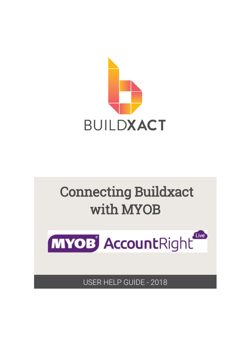



USER HELP GUIDE - 2018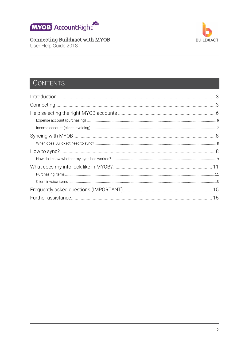

User Help Guide 2018



## **CONTENTS**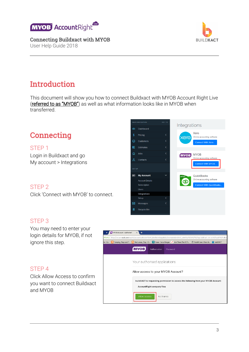





## <span id="page-2-0"></span>Introduction

This document will show you how to connect Buildxact with MYOB Account Right Live (referred to as "MYOB") as well as what information looks like in MYOB when transferred.

<span id="page-2-1"></span>

#### STEP 1

Login in Buildxact and go My account > Integrations

#### STEP 2

Click 'Connect with MYOB' to connect.



#### STEP 3

You may need to enter your login details for MYOB, if not ignore this step.

#### STEP 4

Click Allow Access to confirm you want to connect Buildxact and MYOB

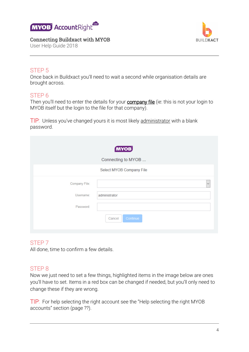





#### STEP 5

Once back in Buildxact you'll need to wait a second while organisation details are brought across.

#### STEP 6

Then you'll need to enter the details for your **company file** (ie: this is not your login to MYOB itself but the login to the file for that company).

TIP: Unless you've changed yours it is most likely administrator with a blank password.

|                                         | <b>MYOB</b><br>Connecting to MYOB |
|-----------------------------------------|-----------------------------------|
|                                         | Select MYOB Company File          |
| Company File:<br>Username:<br>Password: | $\checkmark$<br>administrator     |
|                                         | Cancel<br>Continue                |

#### STEP 7

All done, time to confirm a few details.

#### STEP 8

Now we just need to set a few things, highlighted items in the image below are ones you'll have to set. Items in a red box can be changed if needed, but you'll only need to change these if they are wrong.

TIP: For help selecting the right account see the "Help selecting the right MYOB accounts" section (page ??).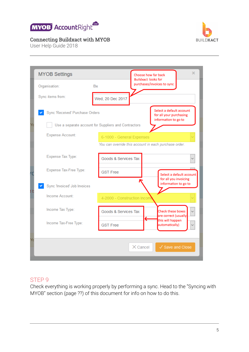



User Help Guide 2018

|    | <b>MYOB Settings</b>            |                                                      | ×<br>Choose how far back<br><b>Buildxact looks for</b>                      |
|----|---------------------------------|------------------------------------------------------|-----------------------------------------------------------------------------|
|    | Organisation:                   | <b>Bx</b>                                            | purchases/invoices to sync                                                  |
|    | Sync items from:                | Wed, 20 Dec 2017                                     |                                                                             |
|    | Sync 'Received' Purchase Orders |                                                      | Select a default account<br>for all your purchasing<br>information to go to |
|    |                                 | Use a separate account for Suppliers and Contractors |                                                                             |
|    | <b>Expense Account:</b>         | 6-1000 - General Expenses                            |                                                                             |
|    |                                 |                                                      | You can override this account in each purchase order.                       |
|    | Expense Tax Type:               | Goods & Services Tax                                 |                                                                             |
|    | Expense Tax-Free Type:          | <b>GST Free</b>                                      | Select a default account<br>for all you invoicing                           |
|    | Sync 'Invoiced' Job Invoices    |                                                      | information to go to                                                        |
|    | Income Account:                 | 4-2000 - Construction Incom                          |                                                                             |
|    | Income Tax Type:                | Goods & Services Tax                                 | <b>Check these boxes</b><br>are correct (usually                            |
|    | Income Tax-Free Type:           | <b>GST Free</b>                                      | €<br>this will happen<br>automatically)                                     |
| Yα |                                 |                                                      |                                                                             |
|    |                                 |                                                      | $\times$ Cancel<br>✓ Save and Close                                         |

#### STEP 9

Check everything is working properly by performing a sync. Head to the "Syncing with MYOB" section (page ??) of this document for info on how to do this.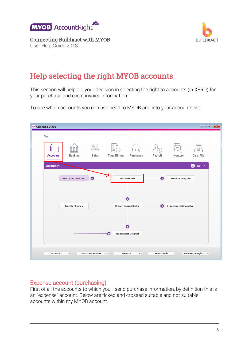

Connecting Buildxact with MYOB User Help Guide 2018



## <span id="page-5-0"></span>Help selecting the right MYOB accounts

This section will help aid your decision in selecting the right to accounts (in XERO) for your purchase and client invoice information.

To see which accounts you can use head to MYOB and into your accounts list.



#### <span id="page-5-1"></span>Expense account (purchasing)

First of all the accounts to which you'll send purchase information, by definition this is an "expense" account. Below are ticked and crossed suitable and not suitable accounts within my MYOB account.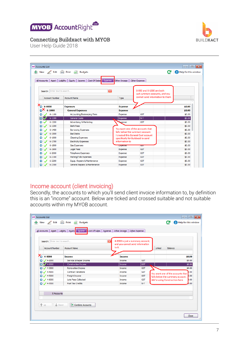





User Help Guide 2018

| <b>AR Accounts List</b>      |                                                           |                                    |                                                             | $\begin{array}{c c c c c c} \hline \multicolumn{3}{c }{\mathbf{C}} & \multicolumn{3}{c }{\mathbf{X}} \end{array}$ |
|------------------------------|-----------------------------------------------------------|------------------------------------|-------------------------------------------------------------|-------------------------------------------------------------------------------------------------------------------|
|                              | 수 New / Edit - Print - Budgets                            |                                    |                                                             | 2 Help for this window                                                                                            |
| All Accounts Asset           | Cost Of Sales<br>Liability<br>Equity<br>Expense<br>Income | Other Income                       | Other Expense                                               |                                                                                                                   |
| Search: Enter text to search |                                                           | $\overline{\mathbf{x}}$            | 6-000 and 6-1000 are both<br>just summary accounts, and you |                                                                                                                   |
| <b>Account Number</b>        | <b>Account Name</b>                                       | Type                               | cannot send information to them                             |                                                                                                                   |
| $6 - 0000$<br>১              | <b>Expenses</b>                                           | <b>Expense</b>                     |                                                             | \$0.00                                                                                                            |
| $6 - 1000$                   |                                                           |                                    |                                                             | \$0.00                                                                                                            |
| $6 - 1100$                   | <b>General Expenses</b>                                   | <b>Expense</b><br>Expense          | <b>GST</b>                                                  | \$0.00                                                                                                            |
| 6-1199                       | Accounting/Bookeeping Fees<br><b>General Costs</b>        |                                    | $N-T$                                                       | \$0.00                                                                                                            |
| $6 - 1200$                   |                                                           | Expense                            |                                                             |                                                                                                                   |
| $6 - 1300$                   | Advertising & Marketing<br><b>Bank Fees</b>               | <b>Expense</b>                     | <b>GST</b>                                                  | \$0.00<br>\$0.00                                                                                                  |
|                              |                                                           |                                    | You want one of the accounts that                           |                                                                                                                   |
| $6 - 1400$                   | <b>Borrowing Expenses</b><br><b>Bad Debts</b>             | falls below the summary account.   |                                                             | \$0.00                                                                                                            |
| $6 - 1500$                   |                                                           |                                    | I created this General Cost account                         | \$0.00                                                                                                            |
| $6 - 1600$                   | <b>Cleaning Expenses</b>                                  | specifically for Buildxact to send |                                                             | \$0.00                                                                                                            |
| $6 - 1700$                   | <b>Electricity Expenses</b>                               | information to                     |                                                             | \$0.00                                                                                                            |
| 6-1800                       | <b>Gas Expenses</b>                                       | <b>EXPLAINER</b>                   | <b>SST</b>                                                  | \$0.00                                                                                                            |
| $6 - 1900$                   | <b>Legal Fees</b>                                         | Expense                            | <b>GST</b>                                                  | \$0.00                                                                                                            |
| 6-2000                       | <b>Telephone Expenses</b>                                 | Expense                            | <b>GST</b>                                                  | \$0.00                                                                                                            |
| $6 - 2100$                   | Parking/Tolls Expenses                                    | Expense                            | <b>GST</b>                                                  | \$0.00                                                                                                            |
| 6-2200                       | Equip. Repairs & Maintenance                              | Expense                            | <b>GST</b>                                                  | \$0.00                                                                                                            |
| 6-2300                       | General Repairs & Maintenance                             | Expense                            | <b>GST</b>                                                  | \$0.00                                                                                                            |

#### <span id="page-6-0"></span>Income account (client invoicing)

Secondly, the accounts to which you'll send client invoice information to, by definition this is an "income" account. Below are ticked and crossed suitable and not suitable accounts within my MYOB account.

|                       | Search: Enter text to search | 4-0000 is just a summary account,<br>$\overline{\mathbf{x}}$<br>and you cannot send information |            |        |                                          |
|-----------------------|------------------------------|-------------------------------------------------------------------------------------------------|------------|--------|------------------------------------------|
| <b>Account Number</b> | <b>Account Name</b>          | to it.                                                                                          |            | Linked | Balance                                  |
| ∕⊙<br>4-0000          | <b>Income</b>                | <b>Income</b>                                                                                   |            |        | \$0.00                                   |
| $\bigcirc$ / 4-1000   | Service & Repair Income      | Income                                                                                          | <b>GST</b> |        | \$0.00                                   |
| $\bigodot$ 4-2000     | <b>Construction Income</b>   | Income                                                                                          | <b>GST</b> |        | \$0.00                                   |
| $\bigcirc$ / 4-3000   | <b>Renovation Income</b>     | Income                                                                                          | <b>GST</b> |        | \$0.00                                   |
| $\bullet$ / 4-4000    | <b>Contract Variations</b>   | Income                                                                                          | <b>GST</b> |        | .00<br>You want one of the accounts that |
| $\bigcirc$ / 4-5000   | Freight Income               | Income                                                                                          | <b>GST</b> |        | ,00<br>falls below the summary account.  |
| $\bigcirc$ / 4-6000   | Late Fees Collected          | Income                                                                                          | <b>GST</b> |        | b.oo<br>We're using Construction here.   |
| $\bigcirc$ / 4-7000   | <b>Fuel Tax Credits</b>      | Income                                                                                          | $N-T$      |        | .00                                      |
|                       | 8 Accounts                   |                                                                                                 |            |        |                                          |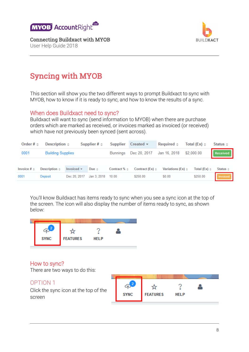

**BUILDXACT** 

Connecting Buildxact with MYOB

User Help Guide 2018

# <span id="page-7-0"></span>Syncing with MYOB

This section will show you the two different ways to prompt Buildxact to sync with MYOB, how to know if it is ready to sync, and how to know the results of a sync.

#### <span id="page-7-1"></span>When does Buildxact need to sync?

Buildxact will want to sync (send information to MYOB) when there are purchase orders which are marked as received, or invoices marked as invoiced (or received) which have not previously been synced (sent across).

| Order # $\triangleq$   | Description $\triangle$  |                                | Supplier $# \triangle$ | Supplier            | Create                    | Required $\triangle$      | Total (Ex) $\triangleq$ | Status $\triangleq$ |
|------------------------|--------------------------|--------------------------------|------------------------|---------------------|---------------------------|---------------------------|-------------------------|---------------------|
| 0001                   | <b>Building Supplies</b> |                                |                        | Bunnings            | Dec 20, 2017              | Jan 16, 2018              | \$2,000.00              | Received            |
| Invoice $# \triangleq$ | Description $\triangle$  | Invoiced $\blacktriangleright$ | Due $\triangleq$       | Contract $% \doteq$ | Contract (Ex) $\triangle$ | Variations (Ex) $\approx$ | Total (Ex) $\triangleq$ | Status $\triangleq$ |
|                        |                          |                                |                        |                     |                           |                           |                         |                     |
| 0001                   | Deposit                  | Dec 20, 2017                   | Jan 3, 2018            | 10.00               | \$250.00                  | \$0.00                    | \$250.00                | Invoiced            |

You'll know Buildxact has items ready to sync when you see a sync icon at the top of the screen. The icon will also display the number of items ready to sync, as shown below:



#### <span id="page-7-2"></span>How to sync?

There are two ways to do this:

#### OPTION 1

Click the sync icon at the top of the screen

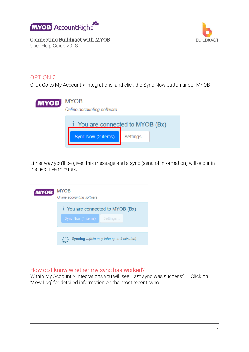

User Help Guide 2018



#### OPTION 2

Click Go to My Account > Integrations, and click the Sync Now button under MYOB

| <b>MYOB</b> | <b>MYOB</b><br>Online accounting software |                                |
|-------------|-------------------------------------------|--------------------------------|
|             |                                           | You are connected to MYOB (Bx) |
|             | Sync Now (2 items)                        | Settings                       |

Either way you'll be given this message and a sync (send of information) will occur in the next five minutes.

| <b>MYOB</b> | <b>MYOB</b><br>Online accounting software                       |
|-------------|-----------------------------------------------------------------|
|             | i You are connected to MYOB (Bx)<br>Sync Now (1 items) Settings |
|             | Syncing (this may take up to 5 minutes)                         |

#### <span id="page-8-0"></span>How do I know whether my sync has worked?

Within My Account > Integrations you will see 'Last sync was successful'. Click on 'View Log' for detailed information on the most recent sync.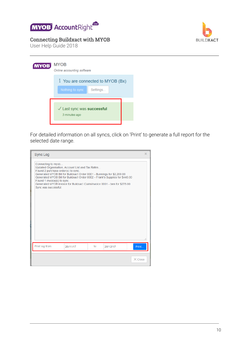



User Help Guide 2018

### **MYOB** MYOB

| Online accounting software                                     |
|----------------------------------------------------------------|
| <i>i</i> You are connected to MYOB (Bx)                        |
| Nothing to sync<br>Settings                                    |
| $\sqrt{\phantom{a}}$ Last sync was successful<br>3 minutes ago |
|                                                                |

For detailed information on all syncs, click on 'Print' to generate a full report for the selected date range.

| <b>Sync Log</b>                                                                                                                                                                                                                                                                                                                                                                                             |          |                 |          | x              |
|-------------------------------------------------------------------------------------------------------------------------------------------------------------------------------------------------------------------------------------------------------------------------------------------------------------------------------------------------------------------------------------------------------------|----------|-----------------|----------|----------------|
| Connecting to myob<br>Updated Organisation, Account List and Tax Rates<br>Found 2 purchase order(s) to sync.<br>Generated MYOB Bill for Buildxact Order 0001 - Bunnings for \$2,200.00<br>Generated MYOB Bill for Buildxact Order 0002 - Frank's Supplies for \$440.00<br>Found 1 invoice(s) to sync.<br>Generated MYOB Invoice for Buildxact Claim/Invoice 0001 - ben for \$275.00<br>Sync was successful. |          |                 |          | a.             |
| Print log from:                                                                                                                                                                                                                                                                                                                                                                                             | 20/11/17 | $\mathsf{to}$ : | 20/12/17 | Print          |
|                                                                                                                                                                                                                                                                                                                                                                                                             |          |                 |          | $\times$ Close |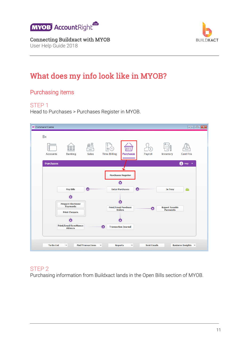

Connecting Buildxact with MYOB User Help Guide 2018



## <span id="page-10-0"></span>What does my info look like in MYOB?

#### <span id="page-10-1"></span>Purchasing items

#### STEP 1

Head to Purchases > Purchases Register in MYOB.

| <b>AR</b> Command Centre                                      |                            |                                              |                    |                                          | $\begin{array}{c c c c c c} \hline \multicolumn{3}{c }{\textbf{}} & \multicolumn{3}{c }{\textbf{}} & \multicolumn{3}{c }{\textbf{}} & \multicolumn{3}{c }{\textbf{}} & \multicolumn{3}{c }{\textbf{}} \end{array}$ |
|---------------------------------------------------------------|----------------------------|----------------------------------------------|--------------------|------------------------------------------|--------------------------------------------------------------------------------------------------------------------------------------------------------------------------------------------------------------------|
| <b>Bx</b>                                                     | ≕<br>111                   | L                                            |                    |                                          |                                                                                                                                                                                                                    |
| <b>Banking</b><br><b>Accounts</b>                             | $=$<br><b>Sales</b>        | <b>Time Billing</b><br><b>Purchases</b>      | Payroll            | Inventory                                | <b>Card File</b>                                                                                                                                                                                                   |
| <b>Purchases</b>                                              |                            |                                              |                    |                                          | Ð<br>Help                                                                                                                                                                                                          |
|                                                               |                            | <b>Purchases Register</b><br>▼               |                    |                                          |                                                                                                                                                                                                                    |
| <b>Pay Bills</b><br>$\overline{\phantom{a}}$                  | O                          | <b>Enter Purchases</b>                       | (⊲                 | In Tray                                  |                                                                                                                                                                                                                    |
| <b>Prepare Electronic</b><br>Payments<br><b>Print Cheques</b> |                            | <b>Print/Email Purchase</b><br><b>Orders</b> | O                  | <b>Report Taxable</b><br><b>Payments</b> |                                                                                                                                                                                                                    |
| $\overline{\phantom{a}}$<br><b>Print/Email Remittance</b>     |                            |                                              |                    |                                          |                                                                                                                                                                                                                    |
| <b>Advices</b>                                                | O                          | <b>Transaction Journal</b>                   |                    |                                          |                                                                                                                                                                                                                    |
| <b>To Do List</b><br>$\overline{\phantom{a}}$                 | <b>Find Transactions v</b> | <b>Reports</b><br>$\overline{\phantom{a}}$   | <b>Sent Emails</b> |                                          | <b>Business Insights v</b>                                                                                                                                                                                         |

#### STEP 2

Purchasing information from Buildxact lands in the Open Bills section of MYOB.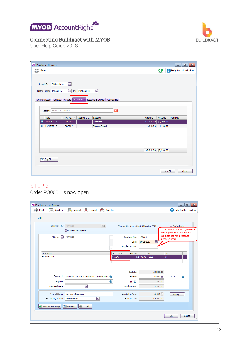



User Help Guide 2018

| <b>AR Purchases Register</b> |                                           |                                         | $\begin{array}{c c c c c c} \hline \multicolumn{3}{c }{\mathbf{C}} & \multicolumn{3}{c }{\mathbf{S}} & \multicolumn{3}{c }{\mathbf{S}} & \multicolumn{3}{c }{\mathbf{S}} & \multicolumn{3}{c }{\mathbf{S}} & \multicolumn{3}{c }{\mathbf{S}} & \multicolumn{3}{c }{\mathbf{S}} & \multicolumn{3}{c }{\mathbf{S}} & \multicolumn{3}{c }{\mathbf{S}} & \multicolumn{3}{c }{\mathbf{S}} & \multicolumn{3}{c }{\mathbf{S}} & \multicolumn{3}{c }{\mathbf$ |  |
|------------------------------|-------------------------------------------|-----------------------------------------|-------------------------------------------------------------------------------------------------------------------------------------------------------------------------------------------------------------------------------------------------------------------------------------------------------------------------------------------------------------------------------------------------------------------------------------------------------|--|
| ÷<br>Print                   |                                           |                                         | <b>C</b> <sup>1</sup> P Help for this window                                                                                                                                                                                                                                                                                                                                                                                                          |  |
|                              |                                           |                                         |                                                                                                                                                                                                                                                                                                                                                                                                                                                       |  |
|                              |                                           |                                         |                                                                                                                                                                                                                                                                                                                                                                                                                                                       |  |
| Search By: All Suppliers     | $\boxed{\mathbf{v}}$                      |                                         |                                                                                                                                                                                                                                                                                                                                                                                                                                                       |  |
| Dated From: 1/12/2017        | $\overline{\mathbf{v}}$<br>To: 20/12/2017 | ☑                                       |                                                                                                                                                                                                                                                                                                                                                                                                                                                       |  |
|                              |                                           |                                         |                                                                                                                                                                                                                                                                                                                                                                                                                                                       |  |
| All Purchases Quotes         | Open Bills<br>Order <sub>s</sub>          | <b>F</b> eturns & Debits   Closed Bills |                                                                                                                                                                                                                                                                                                                                                                                                                                                       |  |
|                              |                                           |                                         |                                                                                                                                                                                                                                                                                                                                                                                                                                                       |  |
| Search: Enter text to search |                                           | $\overline{\mathbf{x}}$                 |                                                                                                                                                                                                                                                                                                                                                                                                                                                       |  |
| Date                         | $\Delta$<br>PO No. 4                      | Supplier In<br>Supplier                 | Amt Due<br>Promised<br>Amount                                                                                                                                                                                                                                                                                                                                                                                                                         |  |
| 20/12/2017<br>∍              | PO0001                                    | Bunnings                                | \$2,200.00<br>\$2,200.00                                                                                                                                                                                                                                                                                                                                                                                                                              |  |
| 20/12/2017                   | PO0002                                    | Frank's Supplies                        | \$440.00<br>\$440.00                                                                                                                                                                                                                                                                                                                                                                                                                                  |  |
|                              |                                           |                                         |                                                                                                                                                                                                                                                                                                                                                                                                                                                       |  |
|                              |                                           |                                         |                                                                                                                                                                                                                                                                                                                                                                                                                                                       |  |
|                              |                                           |                                         |                                                                                                                                                                                                                                                                                                                                                                                                                                                       |  |
|                              |                                           |                                         |                                                                                                                                                                                                                                                                                                                                                                                                                                                       |  |
|                              |                                           |                                         | \$2,640.00 \$2,640.00                                                                                                                                                                                                                                                                                                                                                                                                                                 |  |
|                              |                                           |                                         |                                                                                                                                                                                                                                                                                                                                                                                                                                                       |  |
| Pay Bill                     |                                           |                                         |                                                                                                                                                                                                                                                                                                                                                                                                                                                       |  |
|                              |                                           |                                         |                                                                                                                                                                                                                                                                                                                                                                                                                                                       |  |
|                              |                                           |                                         | New Bill<br>Close                                                                                                                                                                                                                                                                                                                                                                                                                                     |  |

#### STEP 3

Order PO0001 is now open.

| <b>AR Purchases - Edit Service</b> |                                                               |                                           |                         |                                |                   |                       |                                    |                              |                                                       | $\parallel$ o $\parallel$ x<br>$\Box$ |
|------------------------------------|---------------------------------------------------------------|-------------------------------------------|-------------------------|--------------------------------|-------------------|-----------------------|------------------------------------|------------------------------|-------------------------------------------------------|---------------------------------------|
|                                    | Print $\bullet$ $\bullet$ Send To $\bullet$ $\bullet$ Journal |                                           | 昏<br>Layout             | <b>S</b> <sup>■</sup> Register |                   |                       |                                    |                              |                                                       | <b>2</b> Help for this window         |
| <b>BILL</b>                        |                                                               |                                           |                         |                                |                   |                       |                                    |                              |                                                       |                                       |
|                                    | Supplier: $\odot$                                             | Bunnings<br>Reportable Payment            |                         | $\Theta$                       |                   |                       | Terms: 0 0% 1st Net 30th after EOM |                              | Tax Inclusive<br>the supplier invoice number in       | This will come across if you enter    |
|                                    | Ship to: $\vee$                                               | <b>Bunnings</b>                           |                         |                                |                   | Purchase No.:         | PO0001                             |                              | <b>Buildxact against a received</b><br>purchase order |                                       |
|                                    |                                                               |                                           |                         |                                | Supplier Inv No.: | Date:                 | ◙<br>20/12/2017                    |                              |                                                       |                                       |
| Description                        |                                                               |                                           |                         |                                | Account No.       | Amount                | Job                                | Tax                          |                                                       |                                       |
|                                    | Framing - 50                                                  |                                           |                         |                                | 6-1199            |                       | \$2,000.00 J1001                   | <b>GST</b>                   |                                                       |                                       |
|                                    | Comment:                                                      | Added by buildXACT from order J1001/PO000 |                         |                                |                   | Subtotal:<br>Freight: |                                    | \$2,000.00<br>$$0.00$ $\vee$ | <b>GST</b>                                            | Θ                                     |
|                                    | Ship Via:                                                     |                                           |                         | $\Theta$<br>Θ                  |                   | Tax: <                |                                    | \$200.00                     |                                                       |                                       |
|                                    | <b>Promised Date:</b>                                         |                                           | $\overline{\mathbf{v}}$ |                                |                   | <b>Total Amount:</b>  | \$2,200.00                         |                              |                                                       |                                       |
|                                    | Journal Memo:                                                 | Purchase; Bunnings                        |                         |                                | Applied to Date:  |                       |                                    | $$0.00$ $\vee$               | History                                               |                                       |
|                                    | <b>Bill Delivery Status:</b>                                  | To be Printed                             | ⊡                       |                                |                   | <b>Balance Due:</b>   |                                    | \$2,200.00                   |                                                       |                                       |
|                                    | Save as Recurring                                             | Payment<br>ab'                            | Spell                   |                                |                   |                       |                                    |                              |                                                       |                                       |
|                                    |                                                               |                                           |                         |                                |                   |                       |                                    |                              | ОК                                                    | Cancel<br>$\mathcal{A}$               |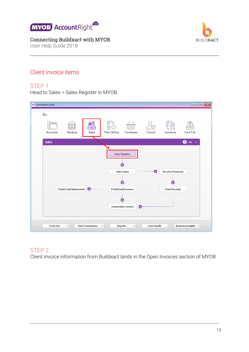

User Help Guide 2018



#### <span id="page-12-0"></span>Client invoice items

#### STEP 1

Head to Sales > Sales Register in MYOB.

| <b>AR</b> Command Centre                                                  | $\overline{\phantom{a}}$ $\overline{\phantom{a}}$ $\overline{\phantom{a}}$ $\overline{\phantom{a}}$                                                           |  |
|---------------------------------------------------------------------------|---------------------------------------------------------------------------------------------------------------------------------------------------------------|--|
| Bx<br>=−<br>ᆖ<br><b>Banking</b><br><b>Sales</b><br><b>Accounts</b>        | <b>Time Billing</b><br><b>Purchases</b><br>Payroll<br><b>Card File</b><br>Inventory                                                                           |  |
| <b>Sales</b>                                                              | $\bullet$ Help $\bullet$<br><b>Sales Register</b><br>۰.                                                                                                       |  |
| <b>Print/Email Statements</b><br>O                                        | <b>Enter Sales</b><br><b>Receive Payments</b><br>O<br>≂<br><b>Print/Email Invoices</b><br><b>Print Receipts</b>                                               |  |
| <b>To Do List</b><br>$\overline{\phantom{a}}$<br><b>Find Transactions</b> | <b>Transaction Journal</b><br>⊂<br><b>Sent Emails</b><br><b>Business Insights v</b><br><b>Reports</b><br>$\overline{\phantom{a}}$<br>$\overline{\phantom{a}}$ |  |

#### STEP 2

Client invoice information from Buildxact lands in the Open Invoices section of MYOB.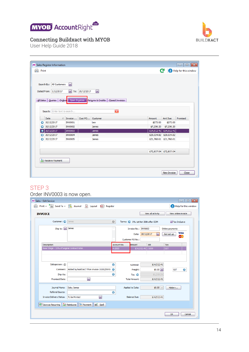



User Help Guide 2018

|           | Search By: All Customers     | $\blacktriangledown$ |                |                                      |            |                           |          |
|-----------|------------------------------|----------------------|----------------|--------------------------------------|------------|---------------------------|----------|
|           | Dated From: 1/12/2017        | $\blacktriangledown$ | To: 20/12/2017 | $\blacktriangleright$                |            |                           |          |
|           |                              |                      |                |                                      |            |                           |          |
| All Sales | Quotes<br>Orders             | Open Invoices        |                | Returns & Credits<br>Closed Invoices |            |                           |          |
|           |                              |                      |                |                                      |            |                           |          |
|           | Search: Enter text to search |                      |                | $\overline{\mathbf{x}}$              |            |                           |          |
|           | Δ<br><b>Date</b>             | Invoice              | Cust PO        | Customer                             | Amount     | Amt Due                   | Promised |
| ⊖         | 20/12/2017                   | <b>INV0001</b>       |                | ben                                  | \$275.00   | \$275.00                  |          |
|           | 20/12/2017                   | <b>INV0002</b>       |                | <b>James</b>                         | \$7,256.20 | \$7,256.20                |          |
| →         | 20/12/2017                   | <b>INV0003</b>       |                | <b>James</b>                         |            | $$14,512.41$ $$14,512.41$ |          |
| Θ         | 20/12/2017                   | <b>INV0004</b>       |                | <b>James</b>                         |            | \$29,024.82 \$29,024.82   |          |
|           | 20/12/2017                   | <b>INV0005</b>       |                | James                                |            | \$21,768.61 \$21,768.61   |          |
|           |                              |                      |                |                                      |            |                           |          |
|           |                              |                      |                |                                      |            | \$72,837.04 \$72,837.04   |          |
|           |                              |                      |                |                                      |            |                           |          |
|           |                              |                      |                |                                      |            |                           |          |

#### STEP 3

#### Order INV0003 is now open.

| <b>AR Sales - Edit Service</b>                                                     |                                                  |             |                                                              |                |                                              | $\begin{array}{c c c c c c} \hline \multicolumn{3}{c }{\mathbf{C}} & \multicolumn{3}{c }{\mathbf{X}} \end{array}$ |  |  |
|------------------------------------------------------------------------------------|--------------------------------------------------|-------------|--------------------------------------------------------------|----------------|----------------------------------------------|-------------------------------------------------------------------------------------------------------------------|--|--|
|                                                                                    | Print > Send To > Deurnal 2 Layout Sall Register |             |                                                              |                | Help for this window                         |                                                                                                                   |  |  |
| View online invoice<br>View all activity<br><b>INVOICE</b>                         |                                                  |             |                                                              |                |                                              |                                                                                                                   |  |  |
| Customer: C                                                                        | James                                            | $\Theta$    | Terms: 0 0% 1st Net 30th after EOM                           |                | Tax Inclusive                                |                                                                                                                   |  |  |
| Ship to: $\boxed{\mathbf{v}}$                                                      | James                                            |             | Invoice No.: INV0003<br>Date: 20/12/2017<br>Customer PO No.: | ⊡              | Online payments<br><b>VISA</b><br>Get set up |                                                                                                                   |  |  |
| Description                                                                        |                                                  | Account No. | Amount                                                       | Job            | Tax                                          |                                                                                                                   |  |  |
| Base Stage - 10% of original contract total.                                       |                                                  | 4-2000      | \$14,512.41 J1000                                            |                | <b>GST</b>                                   |                                                                                                                   |  |  |
| Salesperson: 6                                                                     |                                                  |             |                                                              |                |                                              |                                                                                                                   |  |  |
|                                                                                    |                                                  | Θ           | Subtotal:                                                    | \$14,512.41    |                                              |                                                                                                                   |  |  |
| Comment:                                                                           | Added by buildXACT from invoice J1000/INV0( →    |             | Freight:                                                     | $$0.00$ $\sim$ | Θ<br><b>GST</b>                              |                                                                                                                   |  |  |
| Ship Via:                                                                          |                                                  | Θ           | Tax: $\bigcirc$                                              | \$1,319.31     |                                              |                                                                                                                   |  |  |
| <b>Promised Date:</b>                                                              | $\blacktriangledown$                             |             | <b>Total Amount:</b>                                         | \$14,512.41    |                                              |                                                                                                                   |  |  |
| Journal Memo:<br>Referral Source:                                                  | Sale; James                                      | Θ           | Applied to Date:                                             | $$0.00$ $\vee$ | History                                      |                                                                                                                   |  |  |
| <b>Invoice Delivery Status:</b>                                                    | 罓<br>To be Printed                               |             | <b>Balance Due:</b>                                          | \$14,512.41    |                                              |                                                                                                                   |  |  |
| <b>레</b> Save as Recurring   <mark>승</mark> ତ Reimburse   <mark>스</mark> 크 Payment | abe Spell                                        |             |                                                              |                |                                              |                                                                                                                   |  |  |
|                                                                                    |                                                  |             |                                                              |                | ОК                                           | Cancel<br>al.                                                                                                     |  |  |